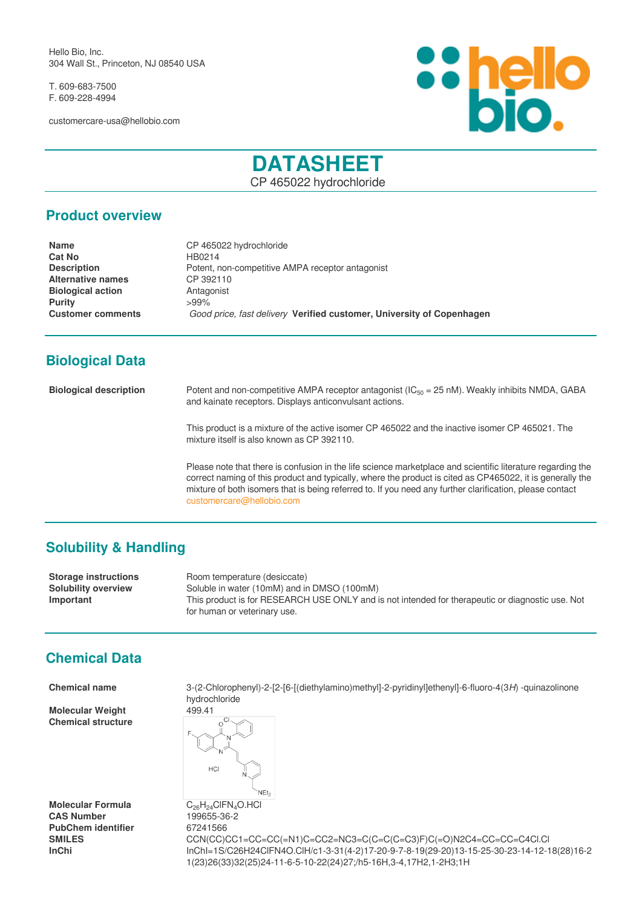Hello Bio, Inc. 304 Wall St., Princeton, NJ 08540 USA

T. 609-683-7500 F. 609-228-4994

customercare-usa@hellobio.com



# **DATASHEET**

CP 465022 hydrochloride

#### **Product overview**

**Name** CP 465022 hydrochloride **Cat No** HB0214 **Description** Potent, non-competitive AMPA receptor antagonist **Alternative names** CP 392110 **Biological action Antagonist Purity**  $>99\%$ **Customer comments** *Good price, fast delivery* **Verified customer, University of Copenhagen**

## **Biological Data**

**Biological description** Potent and non-competitive AMPA receptor antagonist (IC<sub>50</sub> = 25 nM). Weakly inhibits NMDA, GABA and kainate receptors. Displays anticonvulsant actions.

> This product is a mixture of the active isomer CP 465022 and the inactive isomer CP 465021. The mixture itself is also known as CP 392110.

Please note that there is confusion in the life science marketplace and scientific literature regarding the correct naming of this product and typically, where the product is cited as CP465022, it is generally the mixture of both isomers that is being referred to. If you need any further clarification, please contact [customercare@hellobio.com](mailto:customercare@hellobio.com)

## **Solubility & Handling**

**Storage instructions** Room temperature (desiccate) **Solubility overview** Soluble in water (10mM) and in DMSO (100mM) **Important** This product is for RESEARCH USE ONLY and is not intended for therapeutic or diagnostic use. Not for human or veterinary use.

## **Chemical Data**

**Molecular Weight** 499.41 **Chemical structure**

**Molecular Formula** C<sub>26</sub>H<sub>24</sub>ClFN<sub>4</sub>O.HCl<br>**CAS Number** 199655-36-2 PubChem identifier 67241566

**Chemical name** 3-(2-Chlorophenyl)-2-[2-[6-[(diethylamino)methyl]-2-pyridinyl]ethenyl]-6-fluoro-4(3*H*) -quinazolinone hydrochloride



**CAS Number** 199655-36-2 **SMILES** CCN(CC)CC1=CC=CC(=N1)C=CC2=NC3=C(C=C(C=C3)F)C(=O)N2C4=CC=CC=C4Cl.Cl **InChi** InChI=1S/C26H24ClFN4O.ClH/c1-3-31(4-2)17-20-9-7-8-19(29-20)13-15-25-30-23-14-12-18(28)16-2 1(23)26(33)32(25)24-11-6-5-10-22(24)27;/h5-16H,3-4,17H2,1-2H3;1H